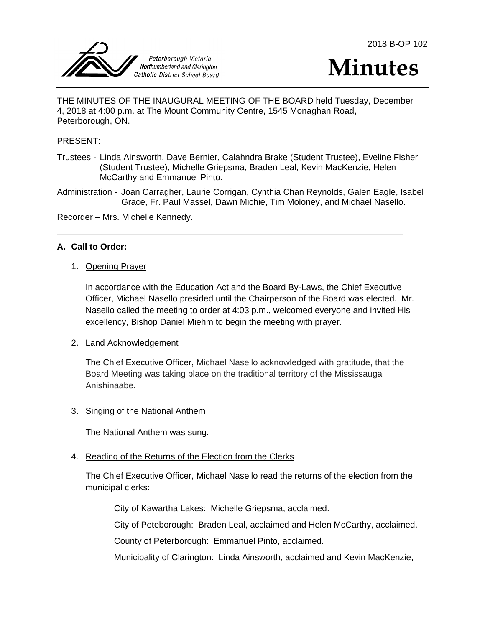



THE MINUTES OF THE INAUGURAL MEETING OF THE BOARD held Tuesday, December 4, 2018 at 4:00 p.m. at The Mount Community Centre, 1545 Monaghan Road, Peterborough, ON.

### PRESENT:

Trustees - Linda Ainsworth, Dave Bernier, Calahndra Brake (Student Trustee), Eveline Fisher (Student Trustee), Michelle Griepsma, Braden Leal, Kevin MacKenzie, Helen McCarthy and Emmanuel Pinto.

Administration - Joan Carragher, Laurie Corrigan, Cynthia Chan Reynolds, Galen Eagle, Isabel Grace, Fr. Paul Massel, Dawn Michie, Tim Moloney, and Michael Nasello.

Recorder – Mrs. Michelle Kennedy.

# **A. Call to Order:**

1. Opening Prayer

In accordance with the Education Act and the Board By-Laws, the Chief Executive Officer, Michael Nasello presided until the Chairperson of the Board was elected. Mr. Nasello called the meeting to order at 4:03 p.m., welcomed everyone and invited His excellency, Bishop Daniel Miehm to begin the meeting with prayer.

### 2. Land Acknowledgement

The Chief Executive Officer, Michael Nasello acknowledged with gratitude, that the Board Meeting was taking place on the traditional territory of the Mississauga Anishinaabe.

### 3. Singing of the National Anthem

The National Anthem was sung.

### 4. Reading of the Returns of the Election from the Clerks

The Chief Executive Officer, Michael Nasello read the returns of the election from the municipal clerks:

City of Kawartha Lakes: Michelle Griepsma, acclaimed.

City of Peteborough: Braden Leal, acclaimed and Helen McCarthy, acclaimed.

County of Peterborough: Emmanuel Pinto, acclaimed.

Municipality of Clarington: Linda Ainsworth, acclaimed and Kevin MacKenzie,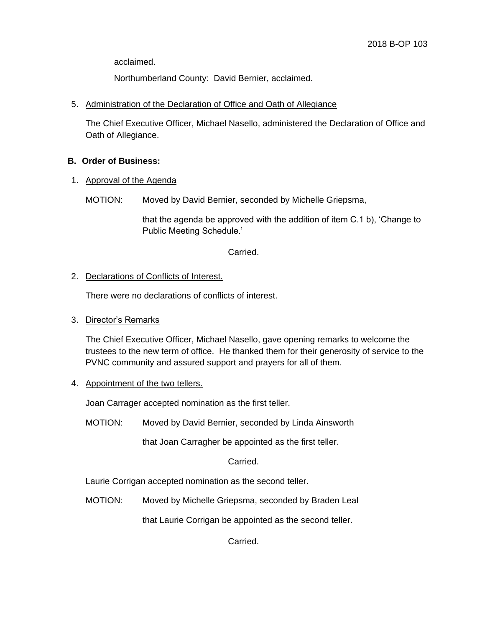acclaimed.

Northumberland County: David Bernier, acclaimed.

5. Administration of the Declaration of Office and Oath of Allegiance

The Chief Executive Officer, Michael Nasello, administered the Declaration of Office and Oath of Allegiance.

# **B. Order of Business:**

1. Approval of the Agenda

MOTION: Moved by David Bernier, seconded by Michelle Griepsma,

that the agenda be approved with the addition of item C.1 b), 'Change to Public Meeting Schedule.'

### Carried.

# 2. Declarations of Conflicts of Interest.

There were no declarations of conflicts of interest.

# 3. Director's Remarks

The Chief Executive Officer, Michael Nasello, gave opening remarks to welcome the trustees to the new term of office. He thanked them for their generosity of service to the PVNC community and assured support and prayers for all of them.

4. Appointment of the two tellers.

Joan Carrager accepted nomination as the first teller.

MOTION: Moved by David Bernier, seconded by Linda Ainsworth

that Joan Carragher be appointed as the first teller.

Carried.

Laurie Corrigan accepted nomination as the second teller.

MOTION: Moved by Michelle Griepsma, seconded by Braden Leal

that Laurie Corrigan be appointed as the second teller.

Carried.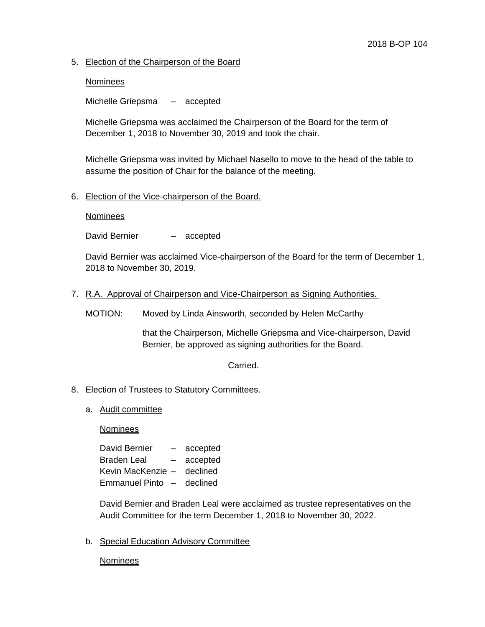# 5. Election of the Chairperson of the Board

### **Nominees**

Michelle Griepsma – accepted

Michelle Griepsma was acclaimed the Chairperson of the Board for the term of December 1, 2018 to November 30, 2019 and took the chair.

Michelle Griepsma was invited by Michael Nasello to move to the head of the table to assume the position of Chair for the balance of the meeting.

### 6. Election of the Vice-chairperson of the Board.

#### **Nominees**

David Bernier - accepted

David Bernier was acclaimed Vice-chairperson of the Board for the term of December 1, 2018 to November 30, 2019.

7. R.A. Approval of Chairperson and Vice-Chairperson as Signing Authorities.

MOTION: Moved by Linda Ainsworth, seconded by Helen McCarthy

that the Chairperson, Michelle Griepsma and Vice-chairperson, David Bernier, be approved as signing authorities for the Board.

Carried.

### 8. Election of Trustees to Statutory Committees.

a. Audit committee

Nominees

| David Bernier         |                          | accepted |
|-----------------------|--------------------------|----------|
| <b>Braden Leal</b>    |                          | accepted |
| Kevin MacKenzie -     |                          | declined |
| <b>Emmanuel Pinto</b> | $\overline{\phantom{a}}$ | declined |

David Bernier and Braden Leal were acclaimed as trustee representatives on the Audit Committee for the term December 1, 2018 to November 30, 2022.

b. Special Education Advisory Committee

Nominees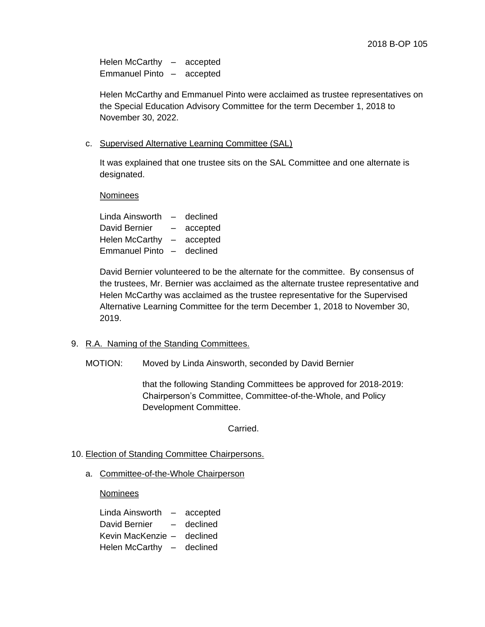Helen McCarthy – accepted Emmanuel Pinto – accepted

Helen McCarthy and Emmanuel Pinto were acclaimed as trustee representatives on the Special Education Advisory Committee for the term December 1, 2018 to November 30, 2022.

c. Supervised Alternative Learning Committee (SAL)

It was explained that one trustee sits on the SAL Committee and one alternate is designated.

**Nominees** 

Linda Ainsworth – declined David Bernier – accepted Helen McCarthy – accepted Emmanuel Pinto – declined

David Bernier volunteered to be the alternate for the committee. By consensus of the trustees, Mr. Bernier was acclaimed as the alternate trustee representative and Helen McCarthy was acclaimed as the trustee representative for the Supervised Alternative Learning Committee for the term December 1, 2018 to November 30, 2019.

- 9. R.A. Naming of the Standing Committees.
	- MOTION: Moved by Linda Ainsworth, seconded by David Bernier

that the following Standing Committees be approved for 2018-2019: Chairperson's Committee, Committee-of-the-Whole, and Policy Development Committee.

Carried.

- 10. Election of Standing Committee Chairpersons.
	- a. Committee-of-the-Whole Chairperson

Nominees

Linda Ainsworth – accepted David Bernier – declined Kevin MacKenzie – declined Helen McCarthy – declined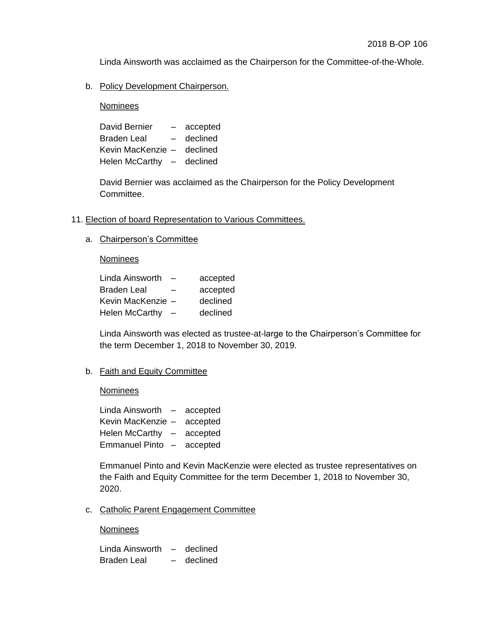Linda Ainsworth was acclaimed as the Chairperson for the Committee-of-the-Whole.

## b. Policy Development Chairperson.

Nominees

David Bernier – accepted Braden Leal – declined Kevin MacKenzie – declined Helen McCarthy – declined

David Bernier was acclaimed as the Chairperson for the Policy Development Committee.

- 11. Election of board Representation to Various Committees.
	- a. Chairperson's Committee

### **Nominees**

| Linda Ainsworth       |   | accepted |
|-----------------------|---|----------|
| Braden Leal           | - | accepted |
| Kevin MacKenzie -     |   | declined |
| <b>Helen McCarthy</b> |   | declined |

Linda Ainsworth was elected as trustee-at-large to the Chairperson's Committee for the term December 1, 2018 to November 30, 2019.

## b. Faith and Equity Committee

### **Nominees**

Linda Ainsworth – accepted Kevin MacKenzie – accepted Helen McCarthy – accepted Emmanuel Pinto – accepted

Emmanuel Pinto and Kevin MacKenzie were elected as trustee representatives on the Faith and Equity Committee for the term December 1, 2018 to November 30, 2020.

c. Catholic Parent Engagement Committee

### **Nominees**

Linda Ainsworth – declined Braden Leal – declined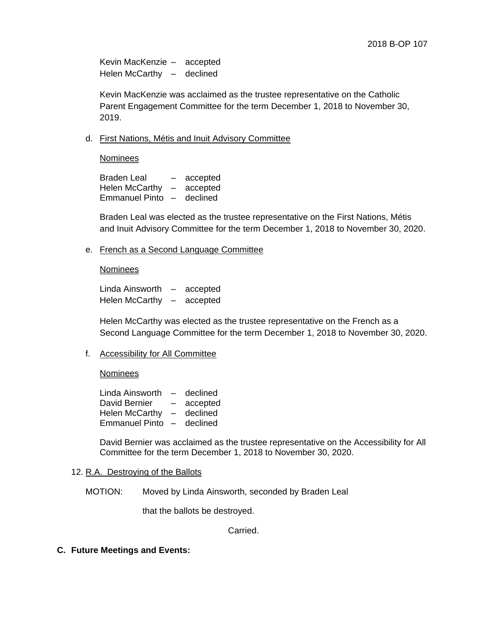Kevin MacKenzie – accepted Helen McCarthy – declined

Kevin MacKenzie was acclaimed as the trustee representative on the Catholic Parent Engagement Committee for the term December 1, 2018 to November 30, 2019.

d. First Nations, Métis and Inuit Advisory Committee

Nominees

Braden Leal – accepted Helen McCarthy – accepted Emmanuel Pinto – declined

Braden Leal was elected as the trustee representative on the First Nations, Métis and Inuit Advisory Committee for the term December 1, 2018 to November 30, 2020.

e. French as a Second Language Committee

#### Nominees

Linda Ainsworth – accepted Helen McCarthy – accepted

Helen McCarthy was elected as the trustee representative on the French as a Second Language Committee for the term December 1, 2018 to November 30, 2020.

### f. Accessibility for All Committee

**Nominees** 

Linda Ainsworth – declined David Bernier – accepted Helen McCarthy – declined Emmanuel Pinto – declined

David Bernier was acclaimed as the trustee representative on the Accessibility for All Committee for the term December 1, 2018 to November 30, 2020.

#### 12. R.A. Destroying of the Ballots

MOTION: Moved by Linda Ainsworth, seconded by Braden Leal

that the ballots be destroyed.

Carried.

**C. Future Meetings and Events:**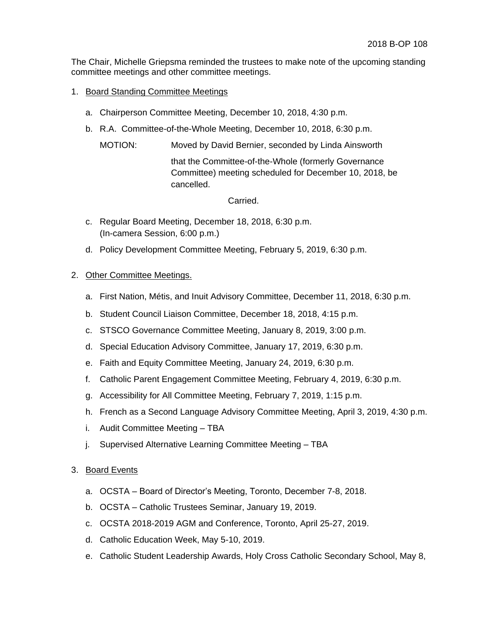The Chair, Michelle Griepsma reminded the trustees to make note of the upcoming standing committee meetings and other committee meetings.

- 1. Board Standing Committee Meetings
	- a. Chairperson Committee Meeting, December 10, 2018, 4:30 p.m.
	- b. R.A. Committee-of-the-Whole Meeting, December 10, 2018, 6:30 p.m.

MOTION: Moved by David Bernier, seconded by Linda Ainsworth

that the Committee-of-the-Whole (formerly Governance Committee) meeting scheduled for December 10, 2018, be cancelled.

Carried.

- c. Regular Board Meeting, December 18, 2018, 6:30 p.m. (In-camera Session, 6:00 p.m.)
- d. Policy Development Committee Meeting, February 5, 2019, 6:30 p.m.

# 2. Other Committee Meetings.

- a. First Nation, Métis, and Inuit Advisory Committee, December 11, 2018, 6:30 p.m.
- b. Student Council Liaison Committee, December 18, 2018, 4:15 p.m.
- c. STSCO Governance Committee Meeting, January 8, 2019, 3:00 p.m.
- d. Special Education Advisory Committee, January 17, 2019, 6:30 p.m.
- e. Faith and Equity Committee Meeting, January 24, 2019, 6:30 p.m.
- f. Catholic Parent Engagement Committee Meeting, February 4, 2019, 6:30 p.m.
- g. Accessibility for All Committee Meeting, February 7, 2019, 1:15 p.m.
- h. French as a Second Language Advisory Committee Meeting, April 3, 2019, 4:30 p.m.
- i. Audit Committee Meeting TBA
- j. Supervised Alternative Learning Committee Meeting TBA

### 3. Board Events

- a. OCSTA Board of Director's Meeting, Toronto, December 7-8, 2018.
- b. OCSTA Catholic Trustees Seminar, January 19, 2019.
- c. OCSTA 2018-2019 AGM and Conference, Toronto, April 25-27, 2019.
- d. Catholic Education Week, May 5-10, 2019.
- e. Catholic Student Leadership Awards, Holy Cross Catholic Secondary School, May 8,